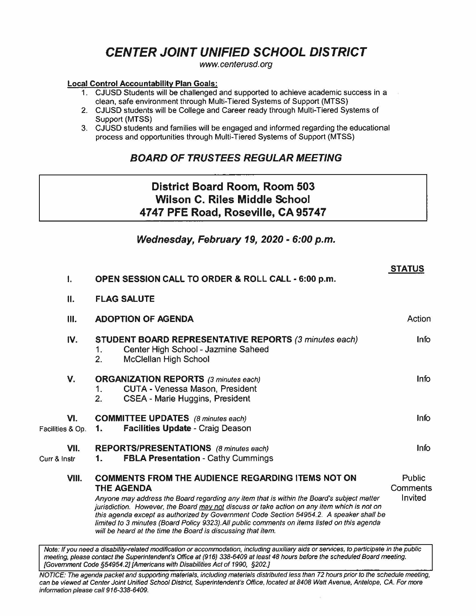# **CENTER JOINT UNIFIED SCHOOL DISTRICT**

www.centerusd.org

#### **Local Control Accountability Plan Goals:**

- 1. CJUSD Students will be challenged and supported to achieve academic success in a clean, safe environment through Multi-Tiered Systems of Support {MTSS)
- 2. CJUSD students will be College and Career ready through Multi-Tiered Systems of Support {MTSS)
- 3. CJUSD students and families will be engaged and informed regarding the educational process and opportunities through Multi-Tiered Systems of Support (MTSS)

# **BOARD OF TRUSTEES REGULAR MEETING**

# **District Board Room, Room 503 Wilson C. Riles Middle School 4747 PFE Road, Roseville, CA 95747**

# **Wednesday, February 19, 2020 - 6:00 p.m.**

| I.                      | OPEN SESSION CALL TO ORDER & ROLL CALL - 6:00 p.m.                                                                                                                                                                                                                                                                                                                                                                                                                                                                                   | <b>STATUS</b> |  |  |
|-------------------------|--------------------------------------------------------------------------------------------------------------------------------------------------------------------------------------------------------------------------------------------------------------------------------------------------------------------------------------------------------------------------------------------------------------------------------------------------------------------------------------------------------------------------------------|---------------|--|--|
|                         |                                                                                                                                                                                                                                                                                                                                                                                                                                                                                                                                      |               |  |  |
| ΙΙ.                     | <b>FLAG SALUTE</b>                                                                                                                                                                                                                                                                                                                                                                                                                                                                                                                   |               |  |  |
| Ш.                      | <b>ADOPTION OF AGENDA</b>                                                                                                                                                                                                                                                                                                                                                                                                                                                                                                            |               |  |  |
| IV.                     | <b>STUDENT BOARD REPRESENTATIVE REPORTS (3 minutes each)</b><br>Center High School - Jazmine Saheed<br>1.<br>2.<br>McClellan High School                                                                                                                                                                                                                                                                                                                                                                                             | <b>Info</b>   |  |  |
| V.                      | <b>ORGANIZATION REPORTS</b> (3 minutes each)<br>CUTA - Venessa Mason, President<br>1.<br>2.<br>CSEA - Marie Huggins, President                                                                                                                                                                                                                                                                                                                                                                                                       | Info          |  |  |
| VI.<br>Facilities & Op. | <b>COMMITTEE UPDATES</b> (8 minutes each)<br><b>Facilities Update - Craig Deason</b><br>1.                                                                                                                                                                                                                                                                                                                                                                                                                                           |               |  |  |
| VII.<br>Curr & Instr    | <b>REPORTS/PRESENTATIONS</b> (8 minutes each)<br><b>FBLA Presentation - Cathy Cummings</b><br>1.                                                                                                                                                                                                                                                                                                                                                                                                                                     |               |  |  |
| VIII.                   | <b>COMMENTS FROM THE AUDIENCE REGARDING ITEMS NOT ON</b><br><b>THE AGENDA</b><br>Anyone may address the Board regarding any item that is within the Board's subject matter<br>jurisdiction. However, the Board may not discuss or take action on any item which is not on<br>this agenda except as authorized by Government Code Section 54954.2. A speaker shall be<br>limited to 3 minutes (Board Policy 9323). All public comments on items listed on this agenda<br>will be heard at the time the Board is discussing that item. |               |  |  |

Note: If you need a disability-related modification or accommodation, including auxiliary aids or services, to participate in the public meeting, please contact the Superintendent's Office at (916) 338-6409 at /east 48 hours before the scheduled Board meeting. {Government Code §54954.2] {Americans with Disabilities Act of 1990, §202.J

NOTICE: The agenda packet and supporting materials, including materials distributed less than 72 hours prior to the schedule meeting, can be viewed at Center Joint Unified School District, Superintendent's Office, located at 8408 Watt Avenue, Antelope. CA. For more information please call 916-338-6409.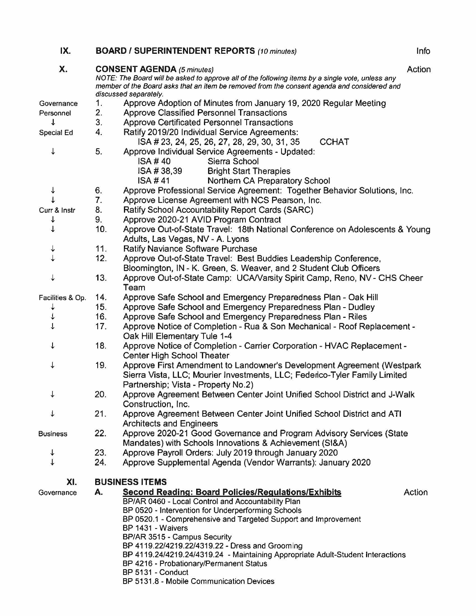| IX.              |     | <b>BOARD / SUPERINTENDENT REPORTS (10 minutes)</b>                                                                                                                                                                                                            | Info   |
|------------------|-----|---------------------------------------------------------------------------------------------------------------------------------------------------------------------------------------------------------------------------------------------------------------|--------|
| X.               |     | <b>CONSENT AGENDA (5 minutes)</b><br>NOTE: The Board will be asked to approve all of the following items by a single vote, unless any<br>member of the Board asks that an item be removed from the consent agenda and considered and<br>discussed separately. | Action |
| Governance       | 1.  | Approve Adoption of Minutes from January 19, 2020 Regular Meeting                                                                                                                                                                                             |        |
| Personnel        | 2.  | <b>Approve Classified Personnel Transactions</b>                                                                                                                                                                                                              |        |
| ↓                | 3.  | Approve Certificated Personnel Transactions                                                                                                                                                                                                                   |        |
| Special Ed       | 4.  | Ratify 2019/20 Individual Service Agreements:<br><b>CCHAT</b><br>ISA # 23, 24, 25, 26, 27, 28, 29, 30, 31, 35                                                                                                                                                 |        |
| ↓                | 5.  | Approve Individual Service Agreements - Updated:                                                                                                                                                                                                              |        |
|                  |     | Sierra School<br><b>ISA #40</b>                                                                                                                                                                                                                               |        |
|                  |     | ISA #38,39<br><b>Bright Start Therapies</b>                                                                                                                                                                                                                   |        |
|                  |     | Northern CA Preparatory School<br><b>ISA #41</b>                                                                                                                                                                                                              |        |
| ↓                | 6.  | Approve Professional Service Agreement: Together Behavior Solutions, Inc.                                                                                                                                                                                     |        |
|                  | 7.  | Approve License Agreement with NCS Pearson, Inc.                                                                                                                                                                                                              |        |
| Curr & Instr     | 8.  | Ratify School Accountability Report Cards (SARC)                                                                                                                                                                                                              |        |
|                  | 9.  | Approve 2020-21 AVID Program Contract                                                                                                                                                                                                                         |        |
|                  | 10. | Approve Out-of-State Travel: 18th National Conference on Adolescents & Young                                                                                                                                                                                  |        |
|                  |     | Adults, Las Vegas, NV - A. Lyons                                                                                                                                                                                                                              |        |
|                  | 11. | <b>Ratify Naviance Software Purchase</b>                                                                                                                                                                                                                      |        |
|                  | 12. | Approve Out-of-State Travel: Best Buddies Leadership Conference,                                                                                                                                                                                              |        |
|                  |     | Bloomington, IN - K. Green, S. Weaver, and 2 Student Club Officers                                                                                                                                                                                            |        |
|                  | 13. | Approve Out-of-State Camp: UCA/Varsity Spirit Camp, Reno, NV - CHS Cheer                                                                                                                                                                                      |        |
|                  |     | Team                                                                                                                                                                                                                                                          |        |
| Facilities & Op. | 14. | Approve Safe School and Emergency Preparedness Plan - Oak Hill                                                                                                                                                                                                |        |
|                  | 15. | Approve Safe School and Emergency Preparedness Plan - Dudley                                                                                                                                                                                                  |        |
|                  | 16. | Approve Safe School and Emergency Preparedness Plan - Riles                                                                                                                                                                                                   |        |
|                  | 17. | Approve Notice of Completion - Rua & Son Mechanical - Roof Replacement -<br>Oak Hill Elementary Tule 1-4                                                                                                                                                      |        |
|                  | 18. | Approve Notice of Completion - Carrier Corporation - HVAC Replacement -<br>Center High School Theater                                                                                                                                                         |        |
| ↓                | 19. | Approve First Amendment to Landowner's Development Agreement (Westpark<br>Sierra Vista, LLC; Mourier Investments, LLC; Federico-Tyler Family Limited<br>Partnership; Vista - Property No.2)                                                                   |        |
| ↓                | 20. | Approve Agreement Between Center Joint Unified School District and J-Walk<br>Construction, Inc.                                                                                                                                                               |        |
| ↓                | 21. | Approve Agreement Between Center Joint Unified School District and ATI                                                                                                                                                                                        |        |
|                  |     | <b>Architects and Engineers</b>                                                                                                                                                                                                                               |        |
| <b>Business</b>  | 22. | Approve 2020-21 Good Governance and Program Advisory Services (State<br>Mandates) with Schools Innovations & Achievement (SI&A)                                                                                                                               |        |
| ↓                | 23. | Approve Payroll Orders: July 2019 through January 2020                                                                                                                                                                                                        |        |
| $\downarrow$     | 24. | Approve Supplemental Agenda (Vendor Warrants): January 2020                                                                                                                                                                                                   |        |
| XI.              |     | <b>BUSINESS ITEMS</b>                                                                                                                                                                                                                                         |        |
| Governance       | Α.  | <b>Second Reading: Board Policies/Regulations/Exhibits</b>                                                                                                                                                                                                    | Action |
|                  |     | BP/AR 0460 - Local Control and Accountability Plan                                                                                                                                                                                                            |        |
|                  |     | BP 0520 - Intervention for Underperforming Schools                                                                                                                                                                                                            |        |
|                  |     | BP 0520.1 - Comprehensive and Targeted Support and Improvement                                                                                                                                                                                                |        |
|                  |     | BP 1431 - Waivers                                                                                                                                                                                                                                             |        |
|                  |     | BP/AR 3515 - Campus Security                                                                                                                                                                                                                                  |        |
|                  |     | BP 4119.22/4219.22/4319.22 - Dress and Grooming                                                                                                                                                                                                               |        |
|                  |     | BP 4119.24/4219.24/4319.24 - Maintaining Appropriate Adult-Student Interactions                                                                                                                                                                               |        |
|                  |     | BP 4216 - Probationary/Permanent Status<br>BP 5131 - Conduct                                                                                                                                                                                                  |        |
|                  |     | BP 5131.8 - Mobile Communication Devices                                                                                                                                                                                                                      |        |
|                  |     |                                                                                                                                                                                                                                                               |        |